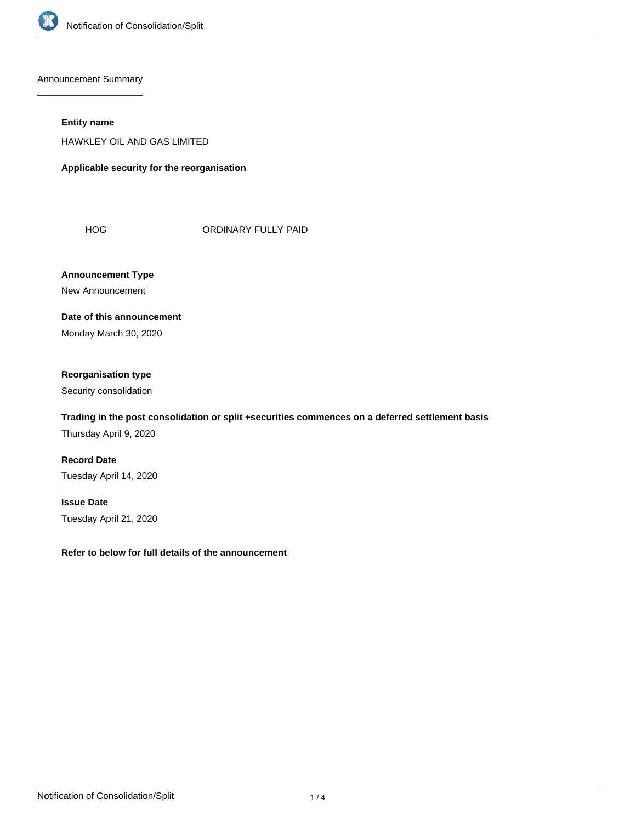

Announcement Summary

## **Entity name**

HAWKLEY OIL AND GAS LIMITED

**Applicable security for the reorganisation**

HOG ORDINARY FULLY PAID

**Announcement Type** New Announcement

**Date of this announcement** Monday March 30, 2020

# **Reorganisation type**

Security consolidation

# **Trading in the post consolidation or split +securities commences on a deferred settlement basis**

Thursday April 9, 2020

**Record Date** Tuesday April 14, 2020

**Issue Date** Tuesday April 21, 2020

**Refer to below for full details of the announcement**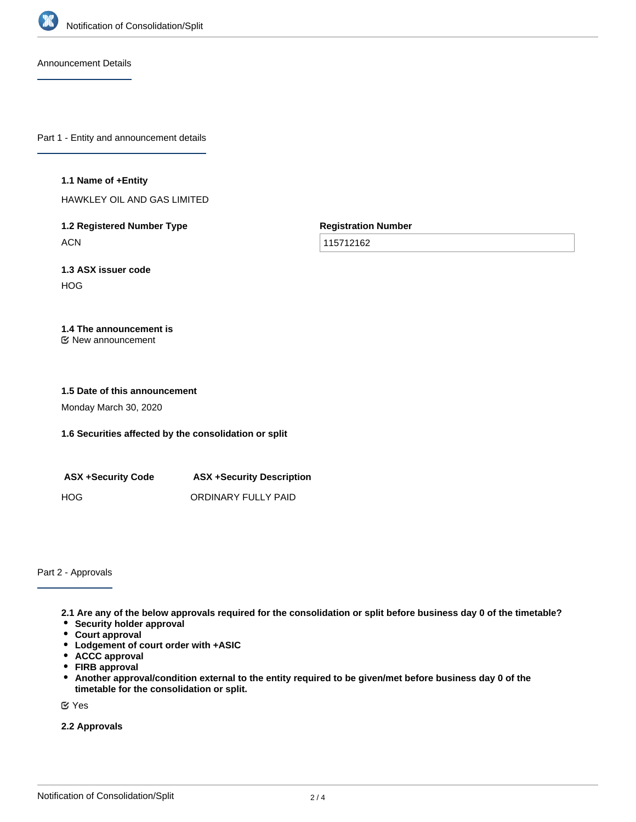

Announcement Details

Part 1 - Entity and announcement details

#### **1.1 Name of +Entity**

HAWKLEY OIL AND GAS LIMITED

**1.2 Registered Number Type ACN** 

**Registration Number**

115712162

**1.3 ASX issuer code** HOG

# **1.4 The announcement is**

New announcement

#### **1.5 Date of this announcement**

Monday March 30, 2020

# **1.6 Securities affected by the consolidation or split**

| <b>ASX +Security Code</b> | <b>ASX +Security Description</b> |
|---------------------------|----------------------------------|
| HOG.                      | ORDINARY FULLY PAID              |

Part 2 - Approvals

**2.1 Are any of the below approvals required for the consolidation or split before business day 0 of the timetable?**

- **•** Security holder approval
- **Court approval**
- **Lodgement of court order with +ASIC**
- **ACCC approval**
- **FIRB approval**
- $\bullet$ **Another approval/condition external to the entity required to be given/met before business day 0 of the timetable for the consolidation or split.**

Yes

**2.2 Approvals**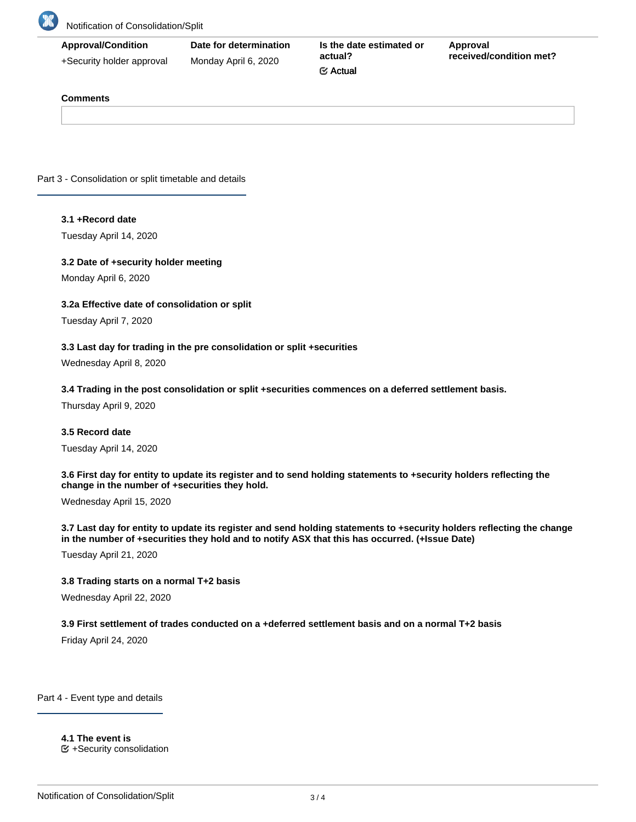

| <b>Approval/Condition</b> | Date for determination | Is the date estimated or | Approval<br>received/condition met? |
|---------------------------|------------------------|--------------------------|-------------------------------------|
| +Security holder approval | Monday April 6, 2020   | actual?                  |                                     |
|                           |                        | $\mathfrak{C}$ Actual    |                                     |

### **Comments**

Part 3 - Consolidation or split timetable and details

#### **3.1 +Record date**

Tuesday April 14, 2020

#### **3.2 Date of +security holder meeting**

Monday April 6, 2020

### **3.2a Effective date of consolidation or split**

Tuesday April 7, 2020

### **3.3 Last day for trading in the pre consolidation or split +securities**

Wednesday April 8, 2020

#### **3.4 Trading in the post consolidation or split +securities commences on a deferred settlement basis.**

Thursday April 9, 2020

### **3.5 Record date**

Tuesday April 14, 2020

**3.6 First day for entity to update its register and to send holding statements to +security holders reflecting the change in the number of +securities they hold.**

Wednesday April 15, 2020

**3.7 Last day for entity to update its register and send holding statements to +security holders reflecting the change in the number of +securities they hold and to notify ASX that this has occurred. (+Issue Date)**

Tuesday April 21, 2020

#### **3.8 Trading starts on a normal T+2 basis**

Wednesday April 22, 2020

### **3.9 First settlement of trades conducted on a +deferred settlement basis and on a normal T+2 basis**

Friday April 24, 2020

Part 4 - Event type and details

**4.1 The event is**  $E$  +Security consolidation